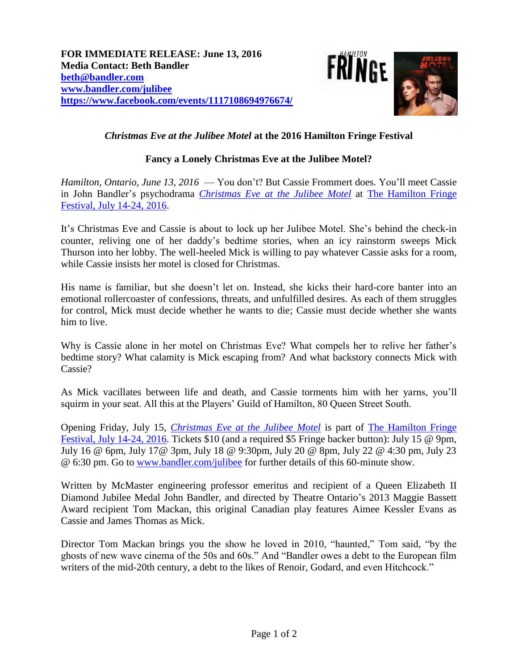

## *Christmas Eve at the Julibee Motel* **at the 2016 Hamilton Fringe Festival**

## **Fancy a Lonely Christmas Eve at the Julibee Motel?**

*Hamilton, Ontario, June 13, 2016* — You don't? But Cassie Frommert does. You'll meet Cassie in John Bandler's psychodrama *Christmas Eve [at the Julibee Motel](http://www.bandler.com/julibee)* at [The Hamilton Fringe](http://hamiltonfringe.ca/)  [Festival, July 14-24, 2016.](http://hamiltonfringe.ca/)

It's Christmas Eve and Cassie is about to lock up her Julibee Motel. She's behind the check-in counter, reliving one of her daddy's bedtime stories, when an icy rainstorm sweeps Mick Thurson into her lobby. The well-heeled Mick is willing to pay whatever Cassie asks for a room, while Cassie insists her motel is closed for Christmas.

His name is familiar, but she doesn't let on. Instead, she kicks their hard-core banter into an emotional rollercoaster of confessions, threats, and unfulfilled desires. As each of them struggles for control, Mick must decide whether he wants to die; Cassie must decide whether she wants him to live.

Why is Cassie alone in her motel on Christmas Eve? What compels her to relive her father's bedtime story? What calamity is Mick escaping from? And what backstory connects Mick with Cassie?

As Mick vacillates between life and death, and Cassie torments him with her yarns, you'll squirm in your seat. All this at the Players' Guild of Hamilton, 80 Queen Street South.

Opening Friday, July 15, *[Christmas Eve at the Julibee Motel](http://www.bandler.com/julibee)* is part of [The Hamilton Fringe](http://hamiltonfringe.ca/)  [Festival, July 14-24, 2016.](http://hamiltonfringe.ca/) Tickets \$10 (and a required \$5 Fringe backer button): July 15 @ 9pm, July 16 @ 6pm, July 17@ 3pm, July 18 @ 9:30pm, July 20 @ 8pm, July 22 @ 4:30 pm, July 23 @ 6:30 pm. Go to [www.bandler.com/julibee](http://www.bandler.com/julibee) for further details of this 60-minute show.

Written by McMaster engineering professor emeritus and recipient of a Queen Elizabeth II Diamond Jubilee Medal John Bandler, and directed by Theatre Ontario's 2013 Maggie Bassett Award recipient Tom Mackan, this original Canadian play features Aimee Kessler Evans as Cassie and James Thomas as Mick.

Director Tom Mackan brings you the show he loved in 2010, "haunted," Tom said, "by the ghosts of new wave cinema of the 50s and 60s." And "Bandler owes a debt to the European film writers of the mid-20th century, a debt to the likes of Renoir, Godard, and even Hitchcock."